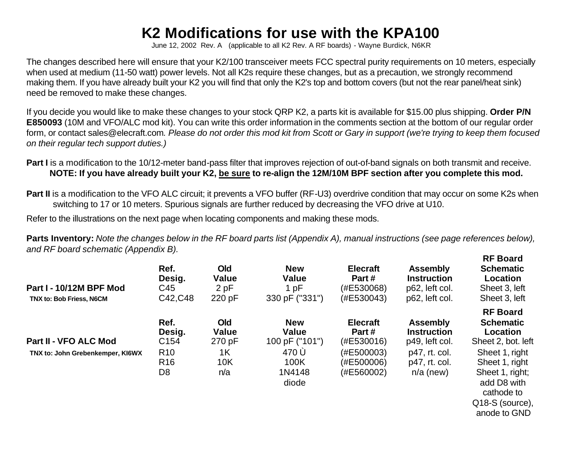## **K2 Modifications for use with the KPA100**

June 12, 2002 Rev. A (applicable to all K2 Rev. A RF boards) - Wayne Burdick, N6KR

The changes described here will ensure that your K2/100 transceiver meets FCC spectral purity requirements on 10 meters, especially when used at medium (11-50 watt) power levels. Not all K2s require these changes, but as a precaution, we strongly recommend making them. If you have already built your K2 you will find that only the K2's top and bottom covers (but not the rear panel/heat sink) need be removed to make these changes.

If you decide you would like to make these changes to your stock QRP K2, a parts kit is available for \$15.00 plus shipping. **Order P/N E850093** (10M and VFO/ALC mod kit). You can write this order information in the comments section at the bottom of our regular order form, or contact sales@elecraft.com*. Please do not order this mod kit from Scott or Gary in support (we're trying to keep them focused on their regular tech support duties.)*

**Part I** is a modification to the 10/12-meter band-pass filter that improves rejection of out-of-band signals on both transmit and receive. **NOTE: If you have already built your K2, be sure to re-align the 12M/10M BPF section after you complete this mod.**

**Part II** is a modification to the VFO ALC circuit; it prevents a VFO buffer (RF-U3) overdrive condition that may occur on some K2s when switching to 17 or 10 meters. Spurious signals are further reduced by decreasing the VFO drive at U10.

Refer to the illustrations on the next page when locating components and making these mods.

**Parts Inventory:** *Note the changes below in the RF board parts list (Appendix A), manual instructions (see page references below), and RF board schematic (Appendix B).* **RF Board**

| Part I - 10/12M BPF Mod<br>TNX to: Bob Friess, N6CM | Ref.<br>Desig.<br>C45<br>C42, C48                    | <b>Old</b><br><b>Value</b><br>2 pF<br>220 pF | <b>New</b><br><b>Value</b><br>1 pF<br>330 pF ("331") | <b>Elecraft</b><br>Part#<br>(#E530068)<br>(#E530043) | <b>Assembly</b><br><b>Instruction</b><br>p62, left col.<br>p62, left col. | NF DUAIU<br><b>Schematic</b><br><b>Location</b><br>Sheet 3, left<br>Sheet 3, left                                   |
|-----------------------------------------------------|------------------------------------------------------|----------------------------------------------|------------------------------------------------------|------------------------------------------------------|---------------------------------------------------------------------------|---------------------------------------------------------------------------------------------------------------------|
| <b>Part II - VFO ALC Mod</b>                        | Ref.<br>Desig.<br>C <sub>154</sub>                   | <b>Old</b><br><b>Value</b><br>270 pF         | <b>New</b><br><b>Value</b><br>100 pF ("101")         | <b>Elecraft</b><br>Part#<br>(#E530016)               | <b>Assembly</b><br><b>Instruction</b><br>p49, left col.                   | <b>RF Board</b><br><b>Schematic</b><br>Location<br>Sheet 2, bot. left                                               |
| TNX to: John Grebenkemper, KI6WX                    | R <sub>10</sub><br>R <sub>16</sub><br>D <sub>8</sub> | 1K<br>10K<br>n/a                             | 470 Ù<br>100K<br>1N4148<br>diode                     | (#E500003)<br>(#E500006)<br>(#E560002)               | p47, rt. col.<br>p47, rt. col.<br>$n/a$ (new)                             | Sheet 1, right<br>Sheet 1, right<br>Sheet 1, right;<br>add D8 with<br>cathode to<br>Q18-S (source),<br>anode to GND |